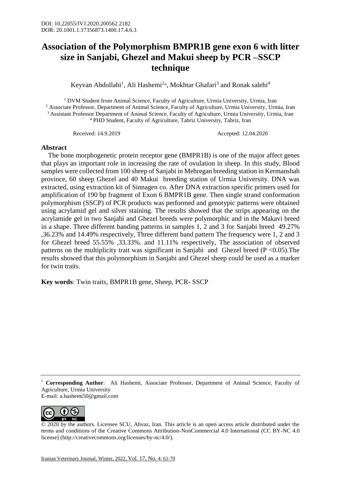## **Association of the Polymorphism BMPR1B gene exon 6 with litter size in Sanjabi, Ghezel and Makui sheep by PCR –SSCP technique**

Keyvan Abdollahi<sup>1</sup>, Ali Hashemi<sup>2</sup>\*, Mokhtar Ghafari<sup>3</sup> and Ronak salehi<sup>4</sup>

<sup>1</sup> DVM Student from Animal Science, Faculty of Agriculture, Urmia University, Urmia, Iran <sup>2</sup> Associate Professor, Department of Animal Science, Faculty of Agriculture, Urmia University, Urmia, Iran <sup>3</sup> Assistant Professor Department of Animal Science, Faculty of Agriculture, Urmia University, Urmia, Iran <sup>4</sup> PHD Student, Faculty of Agriculture, Tabriz University, Tabriz, Iran

Received: 14.9.2019 Accepted: 12.04.2020

## **Abstract**

 The bone morphogenetic protein receptor gene (BMPR1B) is one of the major affect genes that plays an important role in increasing the rate of ovulation in sheep. In this study, Blood samples were collected from 100 sheep of Sanjabi in Mehregan breeding station in Kermanshah province, 60 sheep Ghezel and 40 Makui breeding station of Urmia University. DNA was extracted, using extraction kit of Sinnagen co. After DNA extraction specific primers used for amplification of 190 bp fragment of Exon 6 BMPR1B gene. Then single strand conformation polymorphism (SSCP) of PCR products was performed and genotypic patterns were obtained using acrylamid gel and silver staining. The results showed that the strips appearing on the acrylamide gel in two Sanjabi and Ghezel breeds were polymorphic and in the Makavi breed in a shape. Three different banding patterns in samples 1, 2 and 3 for Sanjabi breed 49.27% ,36.23% and 14.49% respectively, Three different band pattern The frequency were 1, 2 and 3 for Ghezel breed 55.55% ,33.33%. and 11.11% respectively, The association of observed patterns on the multiplicity trait was significant in Sanjabi and Ghezel breed  $(P \le 0.05)$ . The results showed that this polymorphism in Sanjabi and Ghezel sheep could be used as a marker for twin traits.

**Key words**: Twin traits, BMPR1B gene, Sheep, PCR- SSCP

<sup>\*</sup> **Corresponding Author**: Ali Hashemi, Associate Professor, Department of Animal Science, Faculty of Agriculture, Urmia University E-mail: a.hashemi50@gmail.com



<sup>© 2020</sup> by the authors. Licensee SCU, Ahvaz, Iran. This article is an open access article distributed under the terms and conditions of the Creative Commons Attribution-NonCommercial 4.0 International (CC BY-NC 4.0 license) (http://creativecommons.org/licenses/by-nc/4.0/).